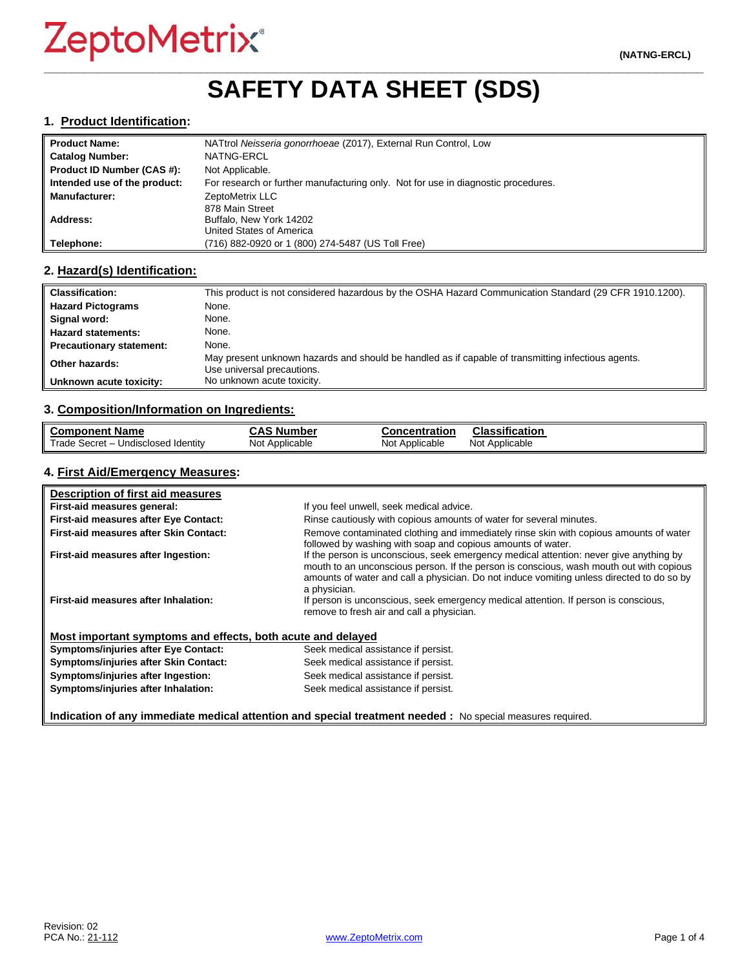# **\_\_\_\_\_\_\_\_\_\_\_\_\_\_\_\_\_\_\_\_\_\_\_\_\_\_\_\_\_\_\_\_\_\_\_\_\_\_\_\_\_\_\_\_\_\_\_\_\_\_\_\_\_\_\_\_\_\_\_\_\_\_\_\_\_\_\_\_\_\_\_\_\_\_\_\_\_\_\_\_\_\_\_\_\_\_\_\_\_\_\_\_\_\_\_\_\_ SAFETY DATA SHEET (SDS)**

#### **1. Product Identification:**

| <b>Product Name:</b>         | NATtrol Neisseria gonorrhoeae (Z017), External Run Control, Low                   |
|------------------------------|-----------------------------------------------------------------------------------|
| <b>Catalog Number:</b>       | NATNG-ERCL                                                                        |
| Product ID Number (CAS #):   | Not Applicable.                                                                   |
| Intended use of the product: | For research or further manufacturing only. Not for use in diagnostic procedures. |
| <b>Manufacturer:</b>         | ZeptoMetrix LLC                                                                   |
|                              | 878 Main Street                                                                   |
| Address:                     | Buffalo, New York 14202                                                           |
|                              | United States of America                                                          |
| Telephone:                   | (716) 882-0920 or 1 (800) 274-5487 (US Toll Free)                                 |

#### **2. Hazard(s) Identification:**

| <b>Classification:</b>          | This product is not considered hazardous by the OSHA Hazard Communication Standard (29 CFR 1910.1200).                           |
|---------------------------------|----------------------------------------------------------------------------------------------------------------------------------|
| <b>Hazard Pictograms</b>        | None.                                                                                                                            |
| Signal word:                    | None.                                                                                                                            |
| <b>Hazard statements:</b>       | None.                                                                                                                            |
| <b>Precautionary statement:</b> | None.                                                                                                                            |
| Other hazards:                  | May present unknown hazards and should be handled as if capable of transmitting infectious agents.<br>Use universal precautions. |
| Unknown acute toxicity:         | No unknown acute toxicity.                                                                                                       |

#### **3. Composition/Information on Ingredients:**

| <b>Component Name</b>               | <b>CAS Number</b> | <b>Concentration</b> | <b>Classification</b> |
|-------------------------------------|-------------------|----------------------|-----------------------|
| Trade Secret - Undisclosed Identity | Not Applicable    | Not Applicable       | Not Applicable        |

### **4. First Aid/Emergency Measures:**

| Description of first aid measures                           |                                                                                                                                                                                                                                                                                                |
|-------------------------------------------------------------|------------------------------------------------------------------------------------------------------------------------------------------------------------------------------------------------------------------------------------------------------------------------------------------------|
| First-aid measures general:                                 | If you feel unwell, seek medical advice.                                                                                                                                                                                                                                                       |
| First-aid measures after Eye Contact:                       | Rinse cautiously with copious amounts of water for several minutes.                                                                                                                                                                                                                            |
| First-aid measures after Skin Contact:                      | Remove contaminated clothing and immediately rinse skin with copious amounts of water<br>followed by washing with soap and copious amounts of water.                                                                                                                                           |
| First-aid measures after Ingestion:                         | If the person is unconscious, seek emergency medical attention: never give anything by<br>mouth to an unconscious person. If the person is conscious, wash mouth out with copious<br>amounts of water and call a physician. Do not induce vomiting unless directed to do so by<br>a physician. |
| First-aid measures after Inhalation:                        | If person is unconscious, seek emergency medical attention. If person is conscious,<br>remove to fresh air and call a physician.                                                                                                                                                               |
| Most important symptoms and effects, both acute and delayed |                                                                                                                                                                                                                                                                                                |
| <b>Symptoms/injuries after Eye Contact:</b>                 | Seek medical assistance if persist.                                                                                                                                                                                                                                                            |
| Symptoms/injuries after Skin Contact:                       | Seek medical assistance if persist.                                                                                                                                                                                                                                                            |
| Symptoms/injuries after Ingestion:                          | Seek medical assistance if persist.                                                                                                                                                                                                                                                            |
| Symptoms/injuries after Inhalation:                         | Seek medical assistance if persist.                                                                                                                                                                                                                                                            |

**Indication of any immediate medical attention and special treatment needed :** No special measures required.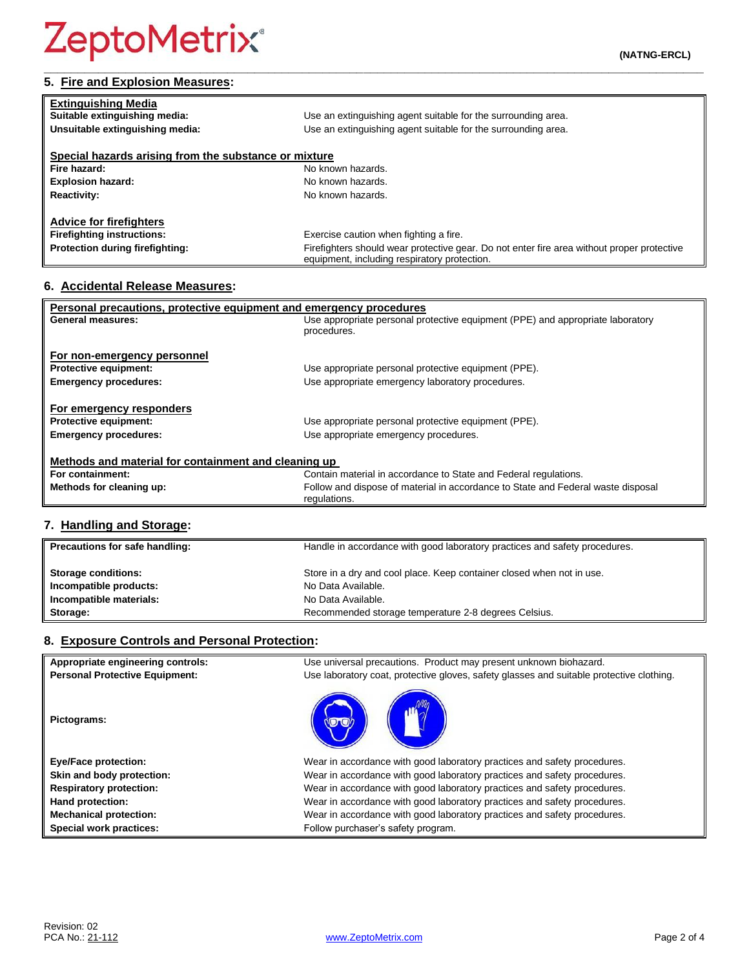# **5. Fire and Explosion Measures:**

| <b>Extinguishing Media</b>                            |                                                                                                                                            |
|-------------------------------------------------------|--------------------------------------------------------------------------------------------------------------------------------------------|
| Suitable extinguishing media:                         | Use an extinguishing agent suitable for the surrounding area.                                                                              |
| Unsuitable extinguishing media:                       | Use an extinguishing agent suitable for the surrounding area.                                                                              |
|                                                       |                                                                                                                                            |
| Special hazards arising from the substance or mixture |                                                                                                                                            |
| Fire hazard:                                          | No known hazards.                                                                                                                          |
| <b>Explosion hazard:</b>                              | No known hazards.                                                                                                                          |
| <b>Reactivity:</b>                                    | No known hazards.                                                                                                                          |
|                                                       |                                                                                                                                            |
| <b>Advice for firefighters</b>                        |                                                                                                                                            |
| <b>Firefighting instructions:</b>                     | Exercise caution when fighting a fire.                                                                                                     |
| Protection during firefighting:                       | Firefighters should wear protective gear. Do not enter fire area without proper protective<br>equipment, including respiratory protection. |

# **6. Accidental Release Measures:**

| Personal precautions, protective equipment and emergency procedures |                                                                                  |  |
|---------------------------------------------------------------------|----------------------------------------------------------------------------------|--|
| General measures:                                                   | Use appropriate personal protective equipment (PPE) and appropriate laboratory   |  |
|                                                                     | procedures.                                                                      |  |
| For non-emergency personnel                                         |                                                                                  |  |
| <b>Protective equipment:</b>                                        | Use appropriate personal protective equipment (PPE).                             |  |
| <b>Emergency procedures:</b>                                        | Use appropriate emergency laboratory procedures.                                 |  |
|                                                                     |                                                                                  |  |
| For emergency responders                                            |                                                                                  |  |
| <b>Protective equipment:</b>                                        | Use appropriate personal protective equipment (PPE).                             |  |
| <b>Emergency procedures:</b>                                        | Use appropriate emergency procedures.                                            |  |
|                                                                     |                                                                                  |  |
| Methods and material for containment and cleaning up                |                                                                                  |  |
| For containment:                                                    | Contain material in accordance to State and Federal regulations.                 |  |
| Methods for cleaning up:                                            | Follow and dispose of material in accordance to State and Federal waste disposal |  |
|                                                                     | regulations.                                                                     |  |

# **7. Handling and Storage:**

| Precautions for safe handling: | Handle in accordance with good laboratory practices and safety procedures. |
|--------------------------------|----------------------------------------------------------------------------|
| <b>Storage conditions:</b>     | Store in a dry and cool place. Keep container closed when not in use.      |
| Incompatible products:         | No Data Available.                                                         |
| Incompatible materials:        | No Data Available.                                                         |
| Storage:                       | Recommended storage temperature 2-8 degrees Celsius.                       |

## **8. Exposure Controls and Personal Protection:**

| Appropriate engineering controls:     | Use universal precautions. Product may present unknown biohazard.                        |
|---------------------------------------|------------------------------------------------------------------------------------------|
| <b>Personal Protective Equipment:</b> | Use laboratory coat, protective gloves, safety glasses and suitable protective clothing. |
| Pictograms:                           |                                                                                          |
| <b>Eye/Face protection:</b>           | Wear in accordance with good laboratory practices and safety procedures.                 |
| Skin and body protection:             | Wear in accordance with good laboratory practices and safety procedures.                 |
| <b>Respiratory protection:</b>        | Wear in accordance with good laboratory practices and safety procedures.                 |
| Hand protection:                      | Wear in accordance with good laboratory practices and safety procedures.                 |
| <b>Mechanical protection:</b>         | Wear in accordance with good laboratory practices and safety procedures.                 |
| Special work practices:               | Follow purchaser's safety program.                                                       |

**(NATNG-ERCL) \_\_\_\_\_\_\_\_\_\_\_\_\_\_\_\_\_\_\_\_\_\_\_\_\_\_\_\_\_\_\_\_\_\_\_\_\_\_\_\_\_\_\_\_\_\_\_\_\_\_\_\_\_\_\_\_\_\_\_\_\_\_\_\_\_\_\_\_\_\_\_\_\_\_\_\_\_\_\_\_\_\_\_\_\_\_\_\_\_\_\_\_\_\_\_\_\_**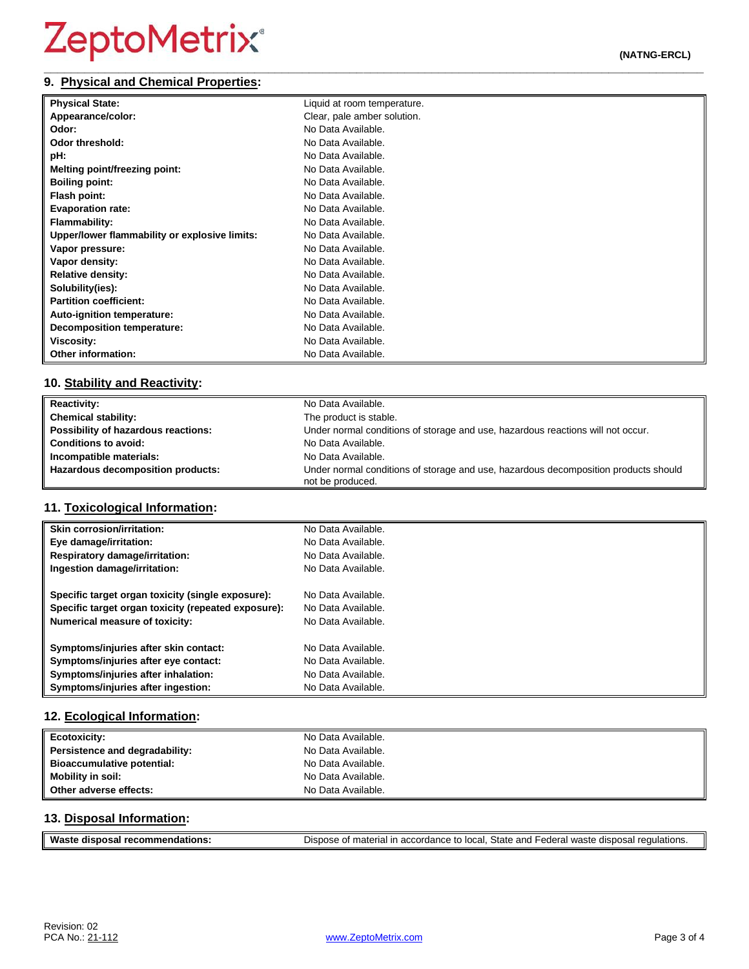#### **\_\_\_\_\_\_\_\_\_\_\_\_\_\_\_\_\_\_\_\_\_\_\_\_\_\_\_\_\_\_\_\_\_\_\_\_\_\_\_\_\_\_\_\_\_\_\_\_\_\_\_\_\_\_\_\_\_\_\_\_\_\_\_\_\_\_\_\_\_\_\_\_\_\_\_\_\_\_\_\_\_\_\_\_\_\_\_\_\_\_\_\_\_\_\_\_\_ 9. Physical and Chemical Properties:**

| <b>Physical State:</b>                        | Liquid at room temperature. |
|-----------------------------------------------|-----------------------------|
| Appearance/color:                             | Clear, pale amber solution. |
| Odor:                                         | No Data Available.          |
| Odor threshold:                               | No Data Available.          |
| pH:                                           | No Data Available.          |
| Melting point/freezing point:                 | No Data Available.          |
| <b>Boiling point:</b>                         | No Data Available.          |
| Flash point:                                  | No Data Available.          |
| <b>Evaporation rate:</b>                      | No Data Available.          |
| <b>Flammability:</b>                          | No Data Available.          |
| Upper/lower flammability or explosive limits: | No Data Available.          |
| Vapor pressure:                               | No Data Available.          |
| Vapor density:                                | No Data Available.          |
| <b>Relative density:</b>                      | No Data Available.          |
| Solubility(ies):                              | No Data Available.          |
| <b>Partition coefficient:</b>                 | No Data Available.          |
| Auto-ignition temperature:                    | No Data Available.          |
| <b>Decomposition temperature:</b>             | No Data Available.          |
| <b>Viscosity:</b>                             | No Data Available.          |
| <b>Other information:</b>                     | No Data Available.          |

# **10. Stability and Reactivity:**

| <b>Reactivity:</b>                  | No Data Available.                                                                                      |
|-------------------------------------|---------------------------------------------------------------------------------------------------------|
| <b>Chemical stability:</b>          | The product is stable.                                                                                  |
| Possibility of hazardous reactions: | Under normal conditions of storage and use, hazardous reactions will not occur.                         |
| <b>Conditions to avoid:</b>         | No Data Available.                                                                                      |
| Incompatible materials:             | No Data Available.                                                                                      |
| Hazardous decomposition products:   | Under normal conditions of storage and use, hazardous decomposition products should<br>not be produced. |

# **11. Toxicological Information:**

| <b>Skin corrosion/irritation:</b>                   | No Data Available. |
|-----------------------------------------------------|--------------------|
| Eye damage/irritation:                              | No Data Available. |
| <b>Respiratory damage/irritation:</b>               | No Data Available. |
| Ingestion damage/irritation:                        | No Data Available. |
| Specific target organ toxicity (single exposure):   | No Data Available. |
| Specific target organ toxicity (repeated exposure): | No Data Available. |
| <b>Numerical measure of toxicity:</b>               | No Data Available. |
| Symptoms/injuries after skin contact:               | No Data Available. |
| Symptoms/injuries after eye contact:                | No Data Available. |
| Symptoms/injuries after inhalation:                 | No Data Available. |
| Symptoms/injuries after ingestion:                  | No Data Available. |

## **12. Ecological Information:**

| <b>Ecotoxicity:</b>            | No Data Available. |
|--------------------------------|--------------------|
| Persistence and degradability: | No Data Available. |
| Bioaccumulative potential:     | No Data Available. |
| <b>Mobility in soil:</b>       | No Data Available. |
| Other adverse effects:         | No Data Available. |

## **13. Disposal Information:**

| Waste<br>recommendations:<br>disposal | Dispose of material in accordance to local, State and Federal waste disposal regulations. |
|---------------------------------------|-------------------------------------------------------------------------------------------|
|                                       |                                                                                           |